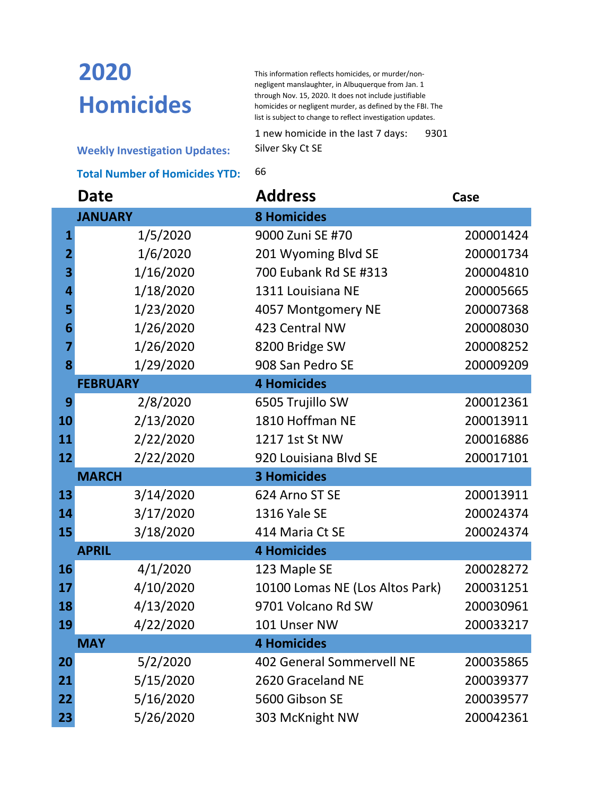## **2020 Homicides**

This information reflects homicides, or murder/nonnegligent manslaughter, in Albuquerque from Jan. 1 through Nov. 15, 2020. It does not include justifiable homicides or negligent murder, as defined by the FBI. The list is subject to change to reflect investigation updates.

1 new homicide in the last 7 days: 9301 Silver Sky Ct SE

**Weekly Investigation Updates:**

**Total Number of Homicides YTD:** 66

|                | <b>Date</b>     | <b>Address</b>                   | Case      |
|----------------|-----------------|----------------------------------|-----------|
|                | <b>JANUARY</b>  | <b>8 Homicides</b>               |           |
| $\mathbf 1$    | 1/5/2020        | 9000 Zuni SE #70                 | 200001424 |
| $\overline{2}$ | 1/6/2020        | 201 Wyoming Blvd SE              | 200001734 |
| 3              | 1/16/2020       | 700 Eubank Rd SE #313            | 200004810 |
| 4              | 1/18/2020       | 1311 Louisiana NE                | 200005665 |
| 5              | 1/23/2020       | 4057 Montgomery NE               | 200007368 |
| 6              | 1/26/2020       | 423 Central NW                   | 200008030 |
| 7              | 1/26/2020       | 8200 Bridge SW                   | 200008252 |
| 8              | 1/29/2020       | 908 San Pedro SE                 | 200009209 |
|                | <b>FEBRUARY</b> | <b>4 Homicides</b>               |           |
| 9              | 2/8/2020        | 6505 Trujillo SW                 | 200012361 |
| 10             | 2/13/2020       | 1810 Hoffman NE                  | 200013911 |
| 11             | 2/22/2020       | 1217 1st St NW                   | 200016886 |
| 12             | 2/22/2020       | 920 Louisiana Blvd SE            | 200017101 |
|                | <b>MARCH</b>    | <b>3 Homicides</b>               |           |
| 13             | 3/14/2020       | 624 Arno ST SE                   | 200013911 |
| 14             | 3/17/2020       | 1316 Yale SE                     | 200024374 |
| 15             | 3/18/2020       | 414 Maria Ct SE                  | 200024374 |
|                | <b>APRIL</b>    | <b>4 Homicides</b>               |           |
| 16             | 4/1/2020        | 123 Maple SE                     | 200028272 |
| 17             | 4/10/2020       | 10100 Lomas NE (Los Altos Park)  | 200031251 |
| 18             | 4/13/2020       | 9701 Volcano Rd SW               | 200030961 |
| 19             | 4/22/2020       | 101 Unser NW                     | 200033217 |
|                | <b>MAY</b>      | <b>4 Homicides</b>               |           |
| 20             | 5/2/2020        | <b>402 General Sommervell NE</b> | 200035865 |
| 21             | 5/15/2020       | 2620 Graceland NE                | 200039377 |
| 22             | 5/16/2020       | 5600 Gibson SE                   | 200039577 |
| 23             | 5/26/2020       | 303 McKnight NW                  | 200042361 |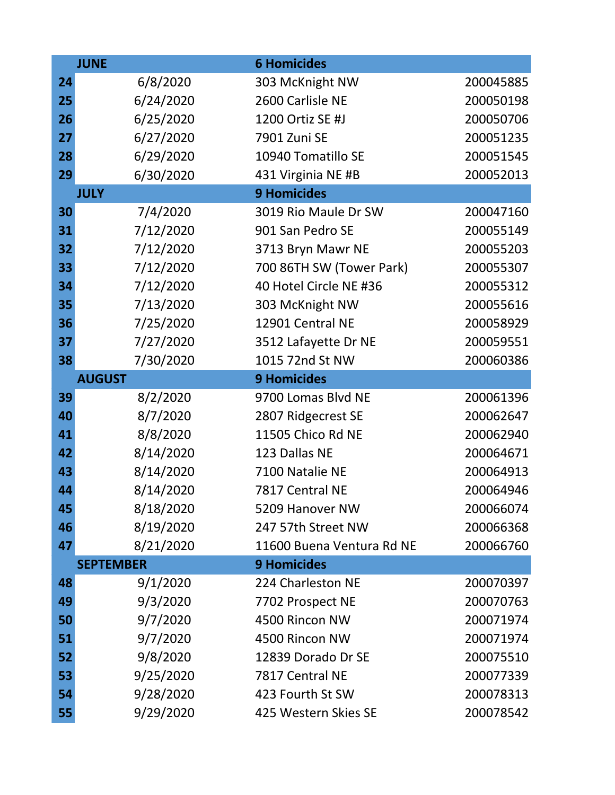|    | <b>JUNE</b>      | <b>6 Homicides</b>        |           |
|----|------------------|---------------------------|-----------|
| 24 | 6/8/2020         | 303 McKnight NW           | 200045885 |
| 25 | 6/24/2020        | 2600 Carlisle NE          | 200050198 |
| 26 | 6/25/2020        | 1200 Ortiz SE #J          | 200050706 |
| 27 | 6/27/2020        | 7901 Zuni SE              | 200051235 |
| 28 | 6/29/2020        | 10940 Tomatillo SE        | 200051545 |
| 29 | 6/30/2020        | 431 Virginia NE #B        | 200052013 |
|    | <b>JULY</b>      | <b>9 Homicides</b>        |           |
| 30 | 7/4/2020         | 3019 Rio Maule Dr SW      | 200047160 |
| 31 | 7/12/2020        | 901 San Pedro SE          | 200055149 |
| 32 | 7/12/2020        | 3713 Bryn Mawr NE         | 200055203 |
| 33 | 7/12/2020        | 700 86TH SW (Tower Park)  | 200055307 |
| 34 | 7/12/2020        | 40 Hotel Circle NE #36    | 200055312 |
| 35 | 7/13/2020        | 303 McKnight NW           | 200055616 |
| 36 | 7/25/2020        | 12901 Central NE          | 200058929 |
| 37 | 7/27/2020        | 3512 Lafayette Dr NE      | 200059551 |
| 38 | 7/30/2020        | 1015 72nd St NW           | 200060386 |
|    | <b>AUGUST</b>    | <b>9 Homicides</b>        |           |
| 39 | 8/2/2020         | 9700 Lomas Blvd NE        | 200061396 |
| 40 | 8/7/2020         | 2807 Ridgecrest SE        | 200062647 |
| 41 | 8/8/2020         | 11505 Chico Rd NE         | 200062940 |
| 42 | 8/14/2020        | 123 Dallas NE             | 200064671 |
| 43 | 8/14/2020        | 7100 Natalie NE           | 200064913 |
| 44 | 8/14/2020        | 7817 Central NE           | 200064946 |
| 45 | 8/18/2020        | 5209 Hanover NW           | 200066074 |
| 46 | 8/19/2020        | 247 57th Street NW        | 200066368 |
| 47 | 8/21/2020        | 11600 Buena Ventura Rd NE | 200066760 |
|    | <b>SEPTEMBER</b> | <b>9 Homicides</b>        |           |
| 48 | 9/1/2020         | 224 Charleston NE         | 200070397 |
| 49 | 9/3/2020         | 7702 Prospect NE          | 200070763 |
| 50 | 9/7/2020         | 4500 Rincon NW            | 200071974 |
| 51 | 9/7/2020         | 4500 Rincon NW            | 200071974 |
| 52 | 9/8/2020         | 12839 Dorado Dr SE        | 200075510 |
| 53 | 9/25/2020        | 7817 Central NE           | 200077339 |
| 54 | 9/28/2020        | 423 Fourth St SW          | 200078313 |
| 55 | 9/29/2020        | 425 Western Skies SE      | 200078542 |